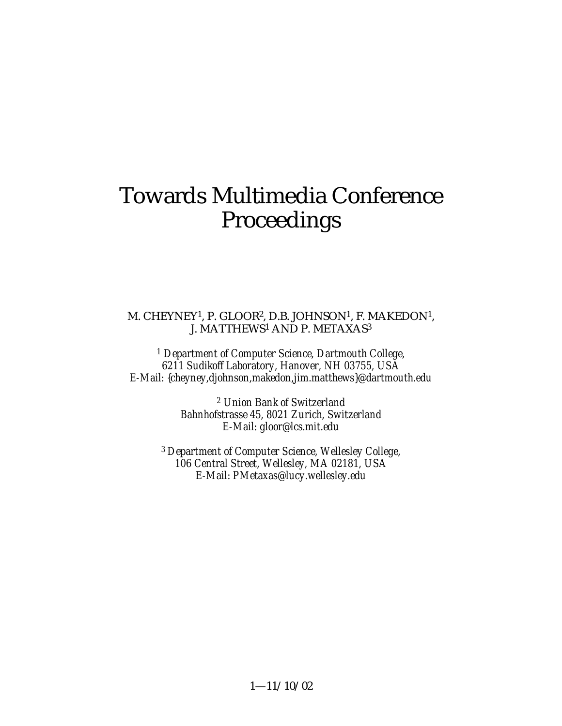# Towards Multimedia Conference Proceedings

#### M. CHEYNEY1, P. GLOOR2, D.B. JOHNSON1, F. MAKEDON1, J. MATTHEWS1 AND P. METAXAS3

*1 Department of Computer Science, Dartmouth College, 6211 Sudikoff Laboratory, Hanover, NH 03755, USA E-Mail: {cheyney,djohnson,makedon,jim.matthews}@dartmouth.edu*

> *2 Union Bank of Switzerland Bahnhofstrasse 45, 8021 Zurich, Switzerland E-Mail: gloor@lcs.mit.edu*

*3 Department of Computer Science, Wellesley College, 106 Central Street, Wellesley, MA 02181, USA E-Mail: PMetaxas@lucy.wellesley.edu*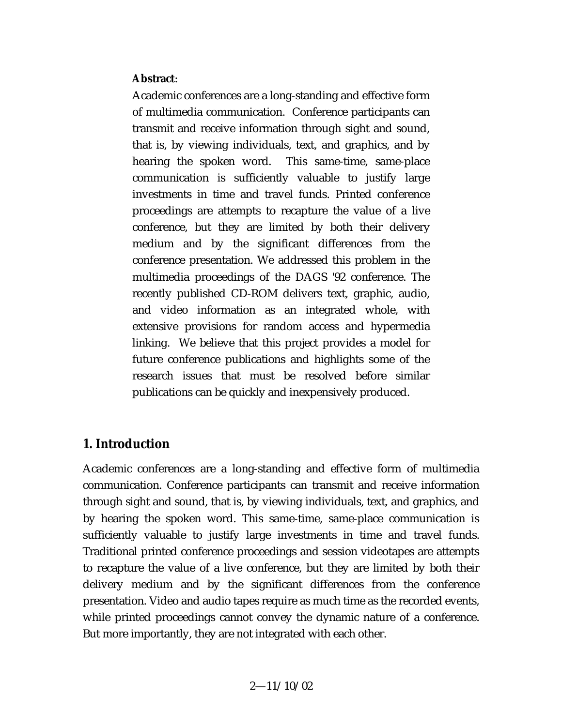#### **Abstract**:

Academic conferences are a long-standing and effective form of multimedia communication. Conference participants can transmit and receive information through sight and sound, that is, by viewing individuals, text, and graphics, and by hearing the spoken word. This same-time, same-place communication is sufficiently valuable to justify large investments in time and travel funds. Printed conference proceedings are attempts to recapture the value of a live conference, but they are limited by both their delivery medium and by the significant differences from the conference presentation. We addressed this problem in the multimedia proceedings of the DAGS '92 conference. The recently published CD-ROM delivers text, graphic, audio, and video information as an integrated whole, with extensive provisions for random access and hypermedia linking. We believe that this project provides a model for future conference publications and highlights some of the research issues that must be resolved before similar publications can be quickly and inexpensively produced.

## **1. Introduction**

Academic conferences are a long-standing and effective form of multimedia communication. Conference participants can transmit and receive information through sight and sound, that is, by viewing individuals, text, and graphics, and by hearing the spoken word. This same-time, same-place communication is sufficiently valuable to justify large investments in time and travel funds. Traditional printed conference proceedings and session videotapes are attempts to recapture the value of a live conference, but they are limited by both their delivery medium and by the significant differences from the conference presentation. Video and audio tapes require as much time as the recorded events, while printed proceedings cannot convey the dynamic nature of a conference. But more importantly, they are not integrated with each other.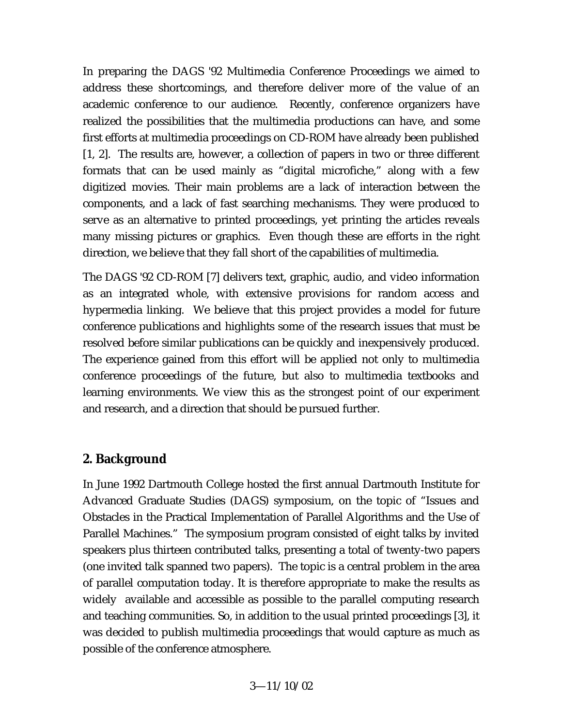In preparing the DAGS '92 Multimedia Conference Proceedings we aimed to address these shortcomings, and therefore deliver more of the value of an academic conference to our audience. Recently, conference organizers have realized the possibilities that the multimedia productions can have, and some first efforts at multimedia proceedings on CD-ROM have already been published [1, 2]. The results are, however, a collection of papers in two or three different formats that can be used mainly as "digital microfiche," along with a few digitized movies. Their main problems are a lack of interaction between the components, and a lack of fast searching mechanisms. They were produced to serve as an alternative to printed proceedings, yet printing the articles reveals many missing pictures or graphics. Even though these are efforts in the right direction, we believe that they fall short of the capabilities of multimedia.

The DAGS '92 CD-ROM [7] delivers text, graphic, audio, and video information as an integrated whole, with extensive provisions for random access and hypermedia linking. We believe that this project provides a model for future conference publications and highlights some of the research issues that must be resolved before similar publications can be quickly and inexpensively produced. The experience gained from this effort will be applied not only to multimedia conference proceedings of the future, but also to multimedia textbooks and learning environments. We view this as the strongest point of our experiment and research, and a direction that should be pursued further.

## **2. Background**

In June 1992 Dartmouth College hosted the first annual Dartmouth Institute for Advanced Graduate Studies (DAGS) symposium, on the topic of "Issues and Obstacles in the Practical Implementation of Parallel Algorithms and the Use of Parallel Machines." The symposium program consisted of eight talks by invited speakers plus thirteen contributed talks, presenting a total of twenty-two papers (one invited talk spanned two papers). The topic is a central problem in the area of parallel computation today. It is therefore appropriate to make the results as widely available and accessible as possible to the parallel computing research and teaching communities. So, in addition to the usual printed proceedings [3], it was decided to publish multimedia proceedings that would capture as much as possible of the conference atmosphere.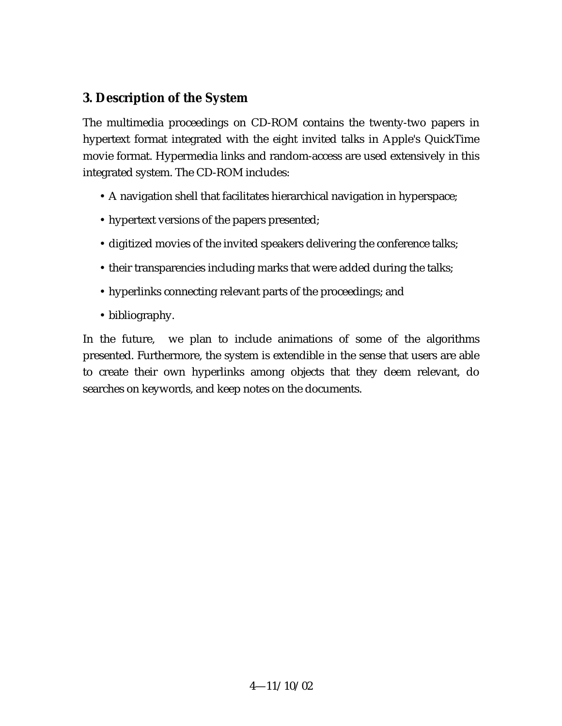# **3. Description of the System**

The multimedia proceedings on CD-ROM contains the twenty-two papers in hypertext format integrated with the eight invited talks in Apple's QuickTime movie format. Hypermedia links and random-access are used extensively in this integrated system. The CD-ROM includes:

- A navigation shell that facilitates hierarchical navigation in hyperspace;
- hypertext versions of the papers presented;
- digitized movies of the invited speakers delivering the conference talks;
- their transparencies including marks that were added during the talks;
- hyperlinks connecting relevant parts of the proceedings; and
- bibliography.

In the future, we plan to include animations of some of the algorithms presented. Furthermore, the system is extendible in the sense that users are able to create their own hyperlinks among objects that they deem relevant, do searches on keywords, and keep notes on the documents.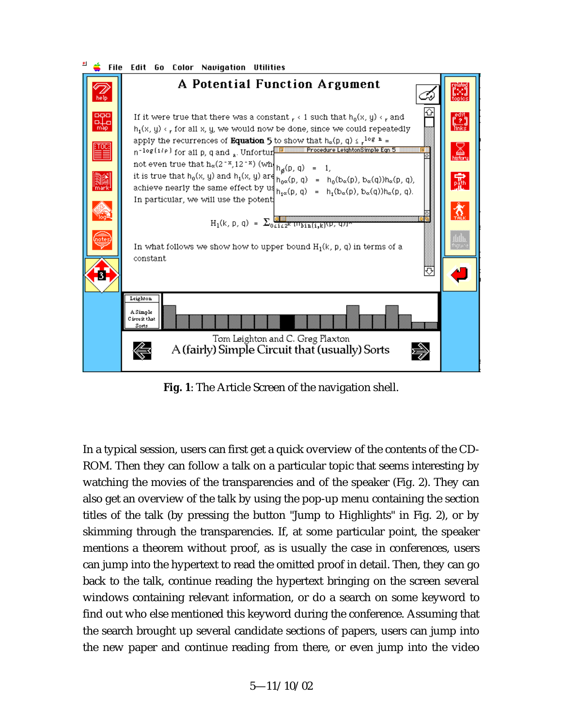



**Fig. 1**: The Article Screen of the navigation shell.

In a typical session, users can first get a quick overview of the contents of the CD-ROM. Then they can follow a talk on a particular topic that seems interesting by watching the movies of the transparencies and of the speaker (Fig. 2). They can also get an overview of the talk by using the pop-up menu containing the section titles of the talk (by pressing the button "Jump to Highlights" in Fig. 2), or by skimming through the transparencies. If, at some particular point, the speaker mentions a theorem without proof, as is usually the case in conferences, users can jump into the hypertext to read the omitted proof in detail. Then, they can go back to the talk, continue reading the hypertext bringing on the screen several windows containing relevant information, or do a search on some keyword to find out who else mentioned this keyword during the conference. Assuming that the search brought up several candidate sections of papers, users can jump into the new paper and continue reading from there, or even jump into the video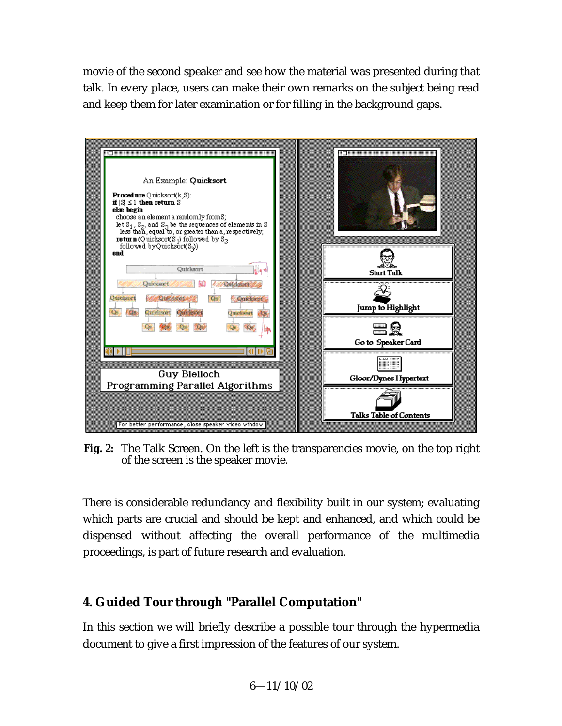movie of the second speaker and see how the material was presented during that talk. In every place, users can make their own remarks on the subject being read and keep them for later examination or for filling in the background gaps.



**Fig. 2:** The Talk Screen. On the left is the transparencies movie, on the top right of the screen is the speaker movie.

There is considerable redundancy and flexibility built in our system; evaluating which parts are crucial and should be kept and enhanced, and which could be dispensed without affecting the overall performance of the multimedia proceedings, is part of future research and evaluation.

# **4. Guided Tour through "Parallel Computation"**

In this section we will briefly describe a possible tour through the hypermedia document to give a first impression of the features of our system.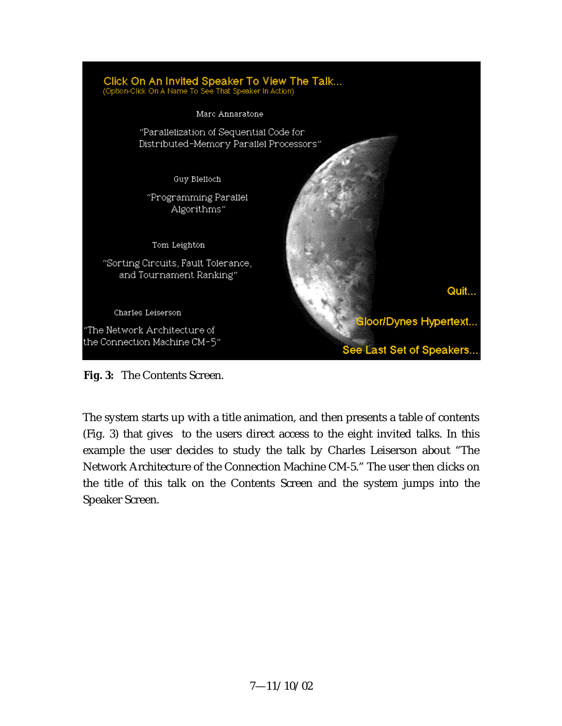

**Fig. 3:** The Contents Screen.

The system starts up with a title animation, and then presents a table of contents (Fig. 3) that gives to the users direct access to the eight invited talks. In this example the user decides to study the talk by Charles Leiserson about "The Network Architecture of the Connection Machine CM-5." The user then clicks on the title of this talk on the Contents Screen and the system jumps into the Speaker Screen.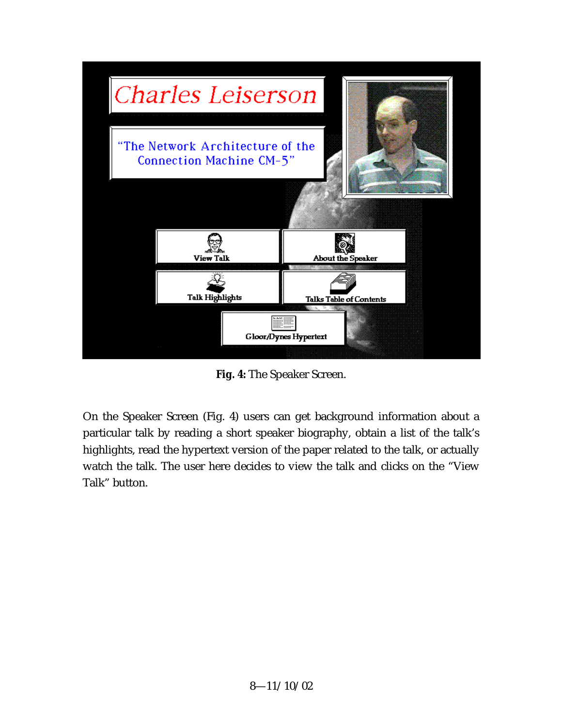

**Fig. 4:** The Speaker Screen.

On the Speaker Screen (Fig. 4) users can get background information about a particular talk by reading a short speaker biography, obtain a list of the talk's highlights, read the hypertext version of the paper related to the talk, or actually watch the talk. The user here decides to view the talk and clicks on the "View Talk" button.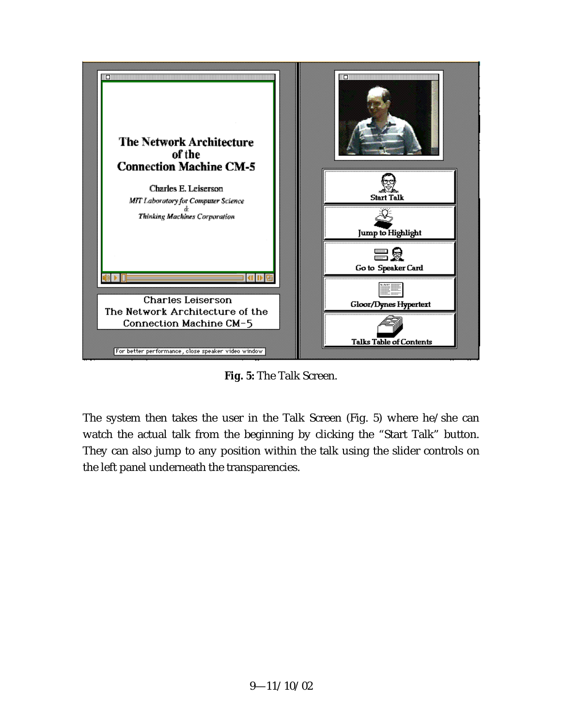

**Fig. 5:** The Talk Screen.

The system then takes the user in the Talk Screen (Fig. 5) where he/she can watch the actual talk from the beginning by clicking the "Start Talk" button. They can also jump to any position within the talk using the slider controls on the left panel underneath the transparencies.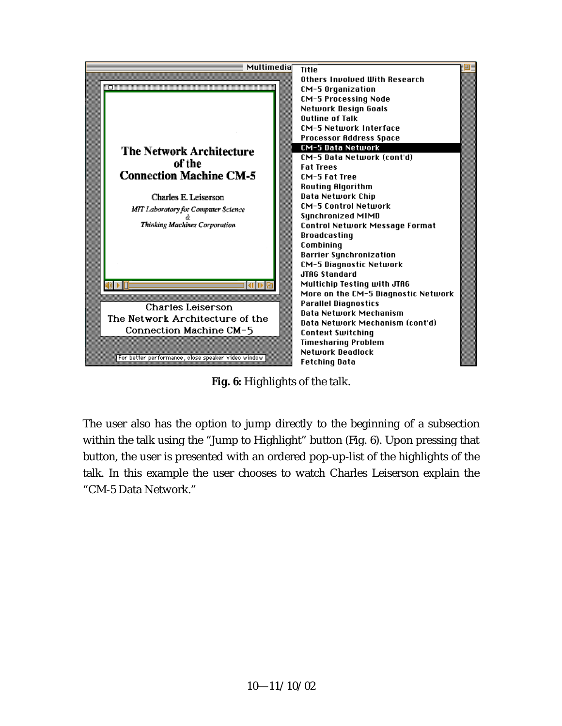

**Fig. 6:** Highlights of the talk.

The user also has the option to jump directly to the beginning of a subsection within the talk using the "Jump to Highlight" button (Fig. 6). Upon pressing that button, the user is presented with an ordered pop-up-list of the highlights of the talk. In this example the user chooses to watch Charles Leiserson explain the "CM-5 Data Network."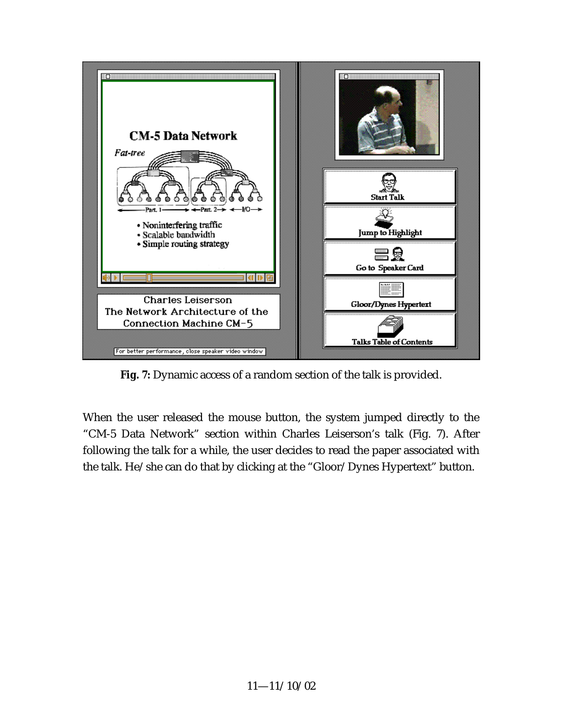

**Fig. 7:** Dynamic access of a random section of the talk is provided.

When the user released the mouse button, the system jumped directly to the "CM-5 Data Network" section within Charles Leiserson's talk (Fig. 7). After following the talk for a while, the user decides to read the paper associated with the talk. He/she can do that by clicking at the "Gloor/Dynes Hypertext" button.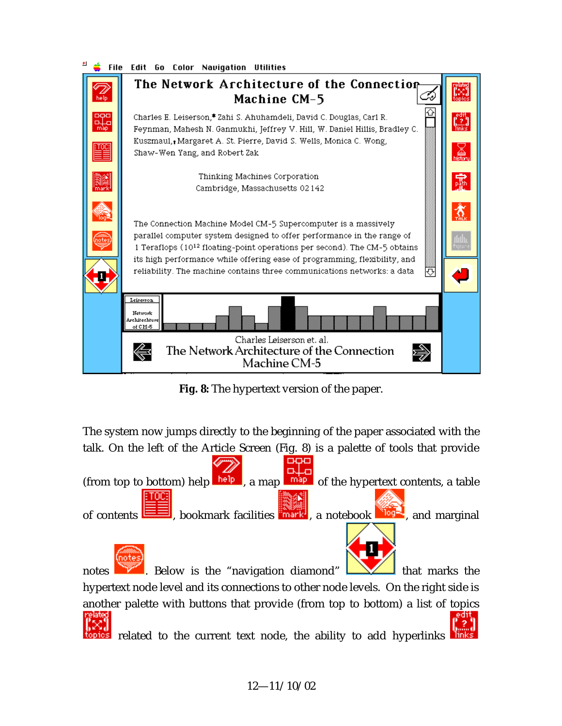



**Fig. 8:** The hypertext version of the paper.

The system now jumps directly to the beginning of the paper associated with the talk. On the left of the Article Screen (Fig. 8) is a palette of tools that provide



notes  $\blacksquare$  Below is the "navigation diamond"  $\blacksquare$  that marks the hypertext node level and its connections to other node levels. On the right side is another palette with buttons that provide (from top to bottom) a list of topics

related to the current text node, the ability to add hyperlinks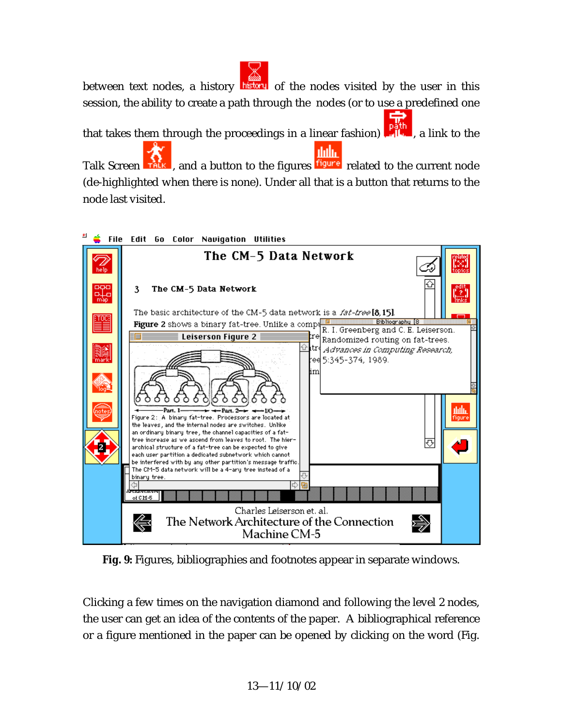between text nodes, a history history of the nodes visited by the user in this session, the ability to create a path through the nodes (or to use a predefined one that takes them through the proceedings in a linear fashion)  $\frac{p_0}{p_1}$ , a link to the dala. Talk Screen **Talk**, and a button to the figures **figure** related to the current node

(de-highlighted when there is none). Under all that is a button that returns to the node last visited.



**Fig. 9:** Figures, bibliographies and footnotes appear in separate windows.

Clicking a few times on the navigation diamond and following the level 2 nodes, the user can get an idea of the contents of the paper. A bibliographical reference or a figure mentioned in the paper can be opened by clicking on the word (Fig.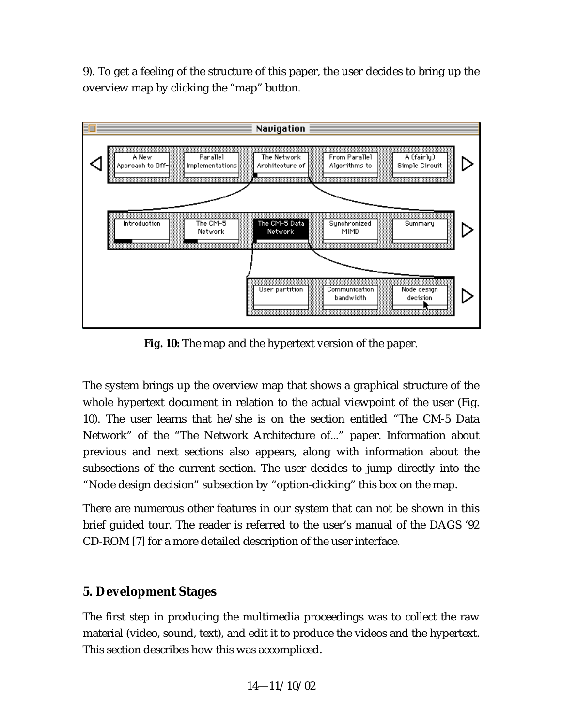9). To get a feeling of the structure of this paper, the user decides to bring up the overview map by clicking the "map" button.



**Fig. 10:** The map and the hypertext version of the paper.

The system brings up the overview map that shows a graphical structure of the whole hypertext document in relation to the actual viewpoint of the user (Fig. 10). The user learns that he/she is on the section entitled "The CM-5 Data Network" of the "The Network Architecture of..." paper. Information about previous and next sections also appears, along with information about the subsections of the current section. The user decides to jump directly into the "Node design decision" subsection by "option-clicking" this box on the map.

There are numerous other features in our system that can not be shown in this brief guided tour. The reader is referred to the user's manual of the DAGS '92 CD-ROM [7] for a more detailed description of the user interface.

# **5. Development Stages**

The first step in producing the multimedia proceedings was to collect the raw material (video, sound, text), and edit it to produce the videos and the hypertext. This section describes how this was accompliced.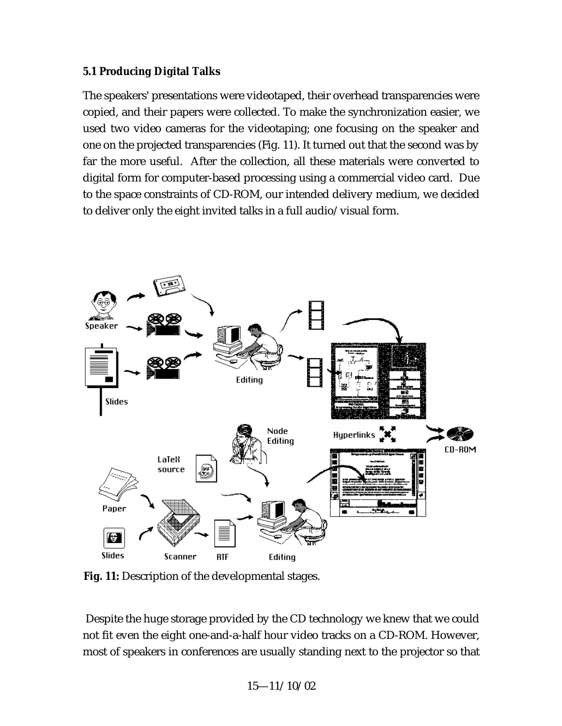#### **5.1 Producing Digital Talks**

The speakers' presentations were videotaped, their overhead transparencies were copied, and their papers were collected. To make the synchronization easier, we used two video cameras for the videotaping; one focusing on the speaker and one on the projected transparencies (Fig. 11). It turned out that the second was by far the more useful. After the collection, all these materials were converted to digital form for computer-based processing using a commercial video card. Due to the space constraints of CD-ROM, our intended delivery medium, we decided to deliver only the eight invited talks in a full audio/visual form.



**Fig. 11:** Description of the developmental stages.

 Despite the huge storage provided by the CD technology we knew that we could not fit even the eight one-and-a-half hour video tracks on a CD-ROM. However, most of speakers in conferences are usually standing next to the projector so that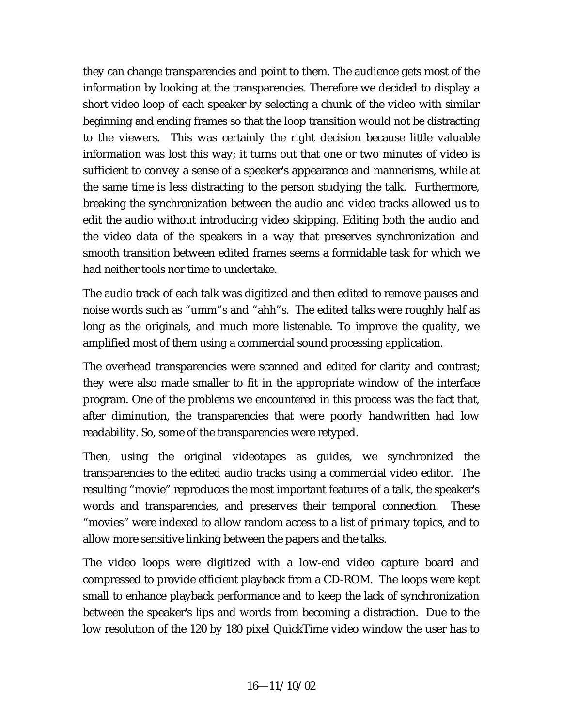they can change transparencies and point to them. The audience gets most of the information by looking at the transparencies. Therefore we decided to display a short video loop of each speaker by selecting a chunk of the video with similar beginning and ending frames so that the loop transition would not be distracting to the viewers. This was certainly the right decision because little valuable information was lost this way; it turns out that one or two minutes of video is sufficient to convey a sense of a speaker's appearance and mannerisms, while at the same time is less distracting to the person studying the talk. Furthermore, breaking the synchronization between the audio and video tracks allowed us to edit the audio without introducing video skipping. Editing both the audio and the video data of the speakers in a way that preserves synchronization and smooth transition between edited frames seems a formidable task for which we had neither tools nor time to undertake.

The audio track of each talk was digitized and then edited to remove pauses and noise words such as "umm"s and "ahh"s. The edited talks were roughly half as long as the originals, and much more listenable. To improve the quality, we amplified most of them using a commercial sound processing application.

The overhead transparencies were scanned and edited for clarity and contrast; they were also made smaller to fit in the appropriate window of the interface program. One of the problems we encountered in this process was the fact that, after diminution, the transparencies that were poorly handwritten had low readability. So, some of the transparencies were retyped.

Then, using the original videotapes as guides, we synchronized the transparencies to the edited audio tracks using a commercial video editor. The resulting "movie" reproduces the most important features of a talk, the speaker's words and transparencies, and preserves their temporal connection. These "movies" were indexed to allow random access to a list of primary topics, and to allow more sensitive linking between the papers and the talks.

The video loops were digitized with a low-end video capture board and compressed to provide efficient playback from a CD-ROM. The loops were kept small to enhance playback performance and to keep the lack of synchronization between the speaker's lips and words from becoming a distraction. Due to the low resolution of the 120 by 180 pixel QuickTime video window the user has to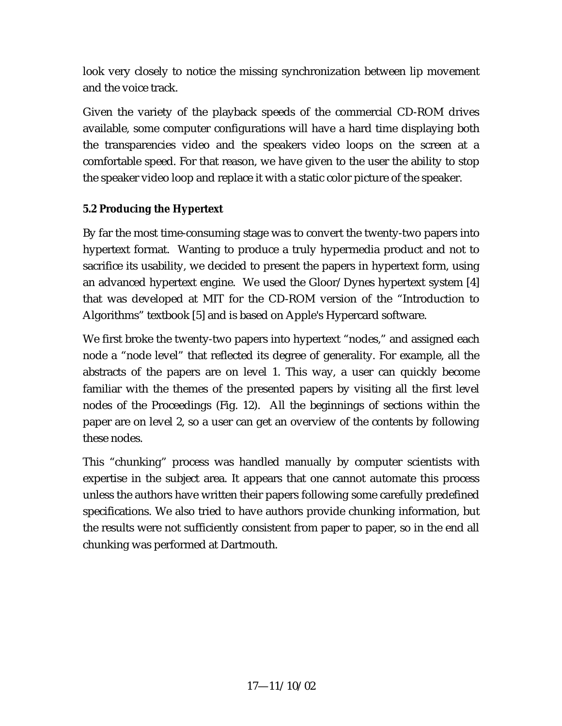look very closely to notice the missing synchronization between lip movement and the voice track.

Given the variety of the playback speeds of the commercial CD-ROM drives available, some computer configurations will have a hard time displaying both the transparencies video and the speakers video loops on the screen at a comfortable speed. For that reason, we have given to the user the ability to stop the speaker video loop and replace it with a static color picture of the speaker.

## **5.2 Producing the Hypertext**

By far the most time-consuming stage was to convert the twenty-two papers into hypertext format. Wanting to produce a truly hypermedia product and not to sacrifice its usability, we decided to present the papers in hypertext form, using an advanced hypertext engine. We used the Gloor/Dynes hypertext system [4] that was developed at MIT for the CD-ROM version of the "Introduction to Algorithms" textbook [5] and is based on Apple's Hypercard software.

We first broke the twenty-two papers into hypertext "nodes," and assigned each node a "node level" that reflected its degree of generality. For example, all the abstracts of the papers are on level 1. This way, a user can quickly become familiar with the themes of the presented papers by visiting all the first level nodes of the Proceedings (Fig. 12). All the beginnings of sections within the paper are on level 2, so a user can get an overview of the contents by following these nodes.

This "chunking" process was handled manually by computer scientists with expertise in the subject area. It appears that one cannot automate this process unless the authors have written their papers following some carefully predefined specifications. We also tried to have authors provide chunking information, but the results were not sufficiently consistent from paper to paper, so in the end all chunking was performed at Dartmouth.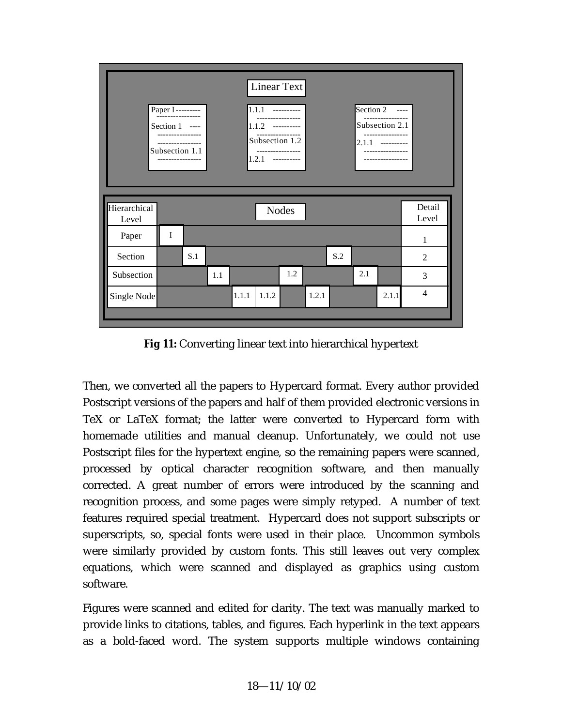

**Fig 11:** Converting linear text into hierarchical hypertext

Then, we converted all the papers to Hypercard format. Every author provided Postscript versions of the papers and half of them provided electronic versions in TeX or LaTeX format; the latter were converted to Hypercard form with homemade utilities and manual cleanup. Unfortunately, we could not use Postscript files for the hypertext engine, so the remaining papers were scanned, processed by optical character recognition software, and then manually corrected. A great number of errors were introduced by the scanning and recognition process, and some pages were simply retyped. A number of text features required special treatment. Hypercard does not support subscripts or superscripts, so, special fonts were used in their place. Uncommon symbols were similarly provided by custom fonts. This still leaves out very complex equations, which were scanned and displayed as graphics using custom software.

Figures were scanned and edited for clarity. The text was manually marked to provide links to citations, tables, and figures. Each hyperlink in the text appears as a bold-faced word. The system supports multiple windows containing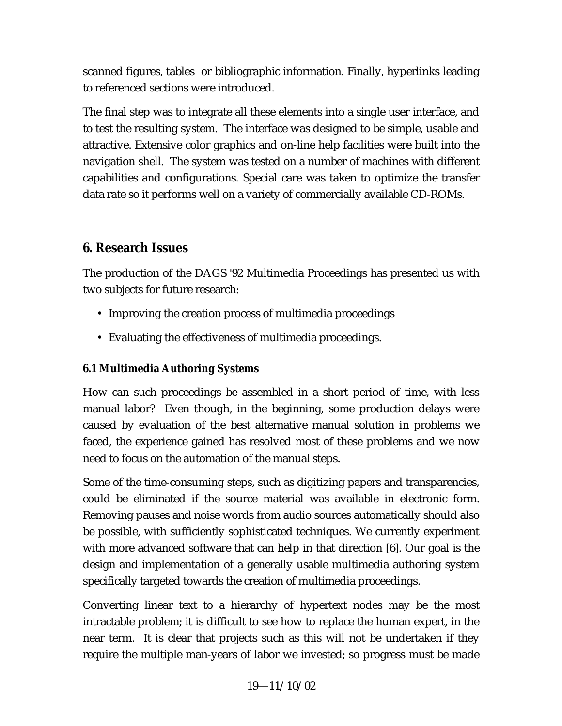scanned figures, tables or bibliographic information. Finally, hyperlinks leading to referenced sections were introduced.

The final step was to integrate all these elements into a single user interface, and to test the resulting system. The interface was designed to be simple, usable and attractive. Extensive color graphics and on-line help facilities were built into the navigation shell. The system was tested on a number of machines with different capabilities and configurations. Special care was taken to optimize the transfer data rate so it performs well on a variety of commercially available CD-ROMs.

# **6. Research Issues**

The production of the DAGS '92 Multimedia Proceedings has presented us with two subjects for future research:

- Improving the creation process of multimedia proceedings
- Evaluating the effectiveness of multimedia proceedings.

## **6.1 Multimedia Authoring Systems**

How can such proceedings be assembled in a short period of time, with less manual labor? Even though, in the beginning, some production delays were caused by evaluation of the best alternative manual solution in problems we faced, the experience gained has resolved most of these problems and we now need to focus on the automation of the manual steps.

Some of the time-consuming steps, such as digitizing papers and transparencies, could be eliminated if the source material was available in electronic form. Removing pauses and noise words from audio sources automatically should also be possible, with sufficiently sophisticated techniques. We currently experiment with more advanced software that can help in that direction [6]. Our goal is the design and implementation of a generally usable multimedia authoring system specifically targeted towards the creation of multimedia proceedings.

Converting linear text to a hierarchy of hypertext nodes may be the most intractable problem; it is difficult to see how to replace the human expert, in the near term. It is clear that projects such as this will not be undertaken if they require the multiple man-years of labor we invested; so progress must be made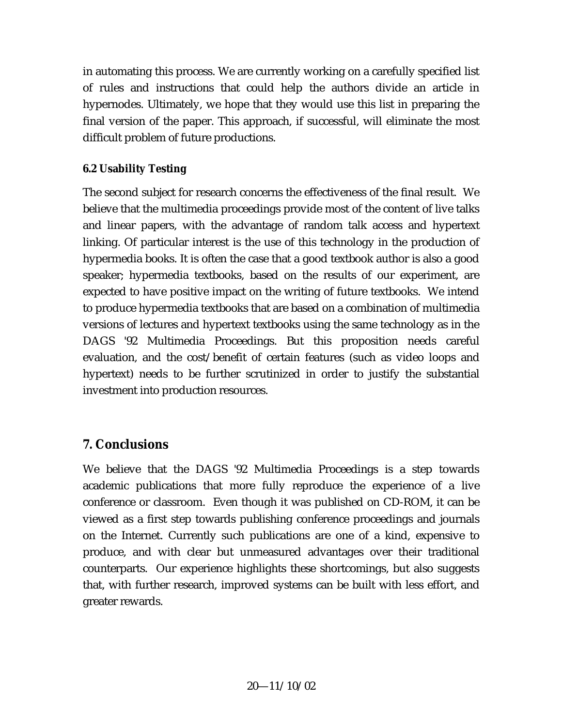in automating this process. We are currently working on a carefully specified list of rules and instructions that could help the authors divide an article in hypernodes. Ultimately, we hope that they would use this list in preparing the final version of the paper. This approach, if successful, will eliminate the most difficult problem of future productions.

## **6.2 Usability Testing**

The second subject for research concerns the effectiveness of the final result. We believe that the multimedia proceedings provide most of the content of live talks and linear papers, with the advantage of random talk access and hypertext linking. Of particular interest is the use of this technology in the production of hypermedia books. It is often the case that a good textbook author is also a good speaker; hypermedia textbooks, based on the results of our experiment, are expected to have positive impact on the writing of future textbooks. We intend to produce hypermedia textbooks that are based on a combination of multimedia versions of lectures and hypertext textbooks using the same technology as in the DAGS '92 Multimedia Proceedings. But this proposition needs careful evaluation, and the cost/benefit of certain features (such as video loops and hypertext) needs to be further scrutinized in order to justify the substantial investment into production resources.

## **7. Conclusions**

We believe that the DAGS '92 Multimedia Proceedings is a step towards academic publications that more fully reproduce the experience of a live conference or classroom. Even though it was published on CD-ROM, it can be viewed as a first step towards publishing conference proceedings and journals on the Internet. Currently such publications are one of a kind, expensive to produce, and with clear but unmeasured advantages over their traditional counterparts. Our experience highlights these shortcomings, but also suggests that, with further research, improved systems can be built with less effort, and greater rewards.